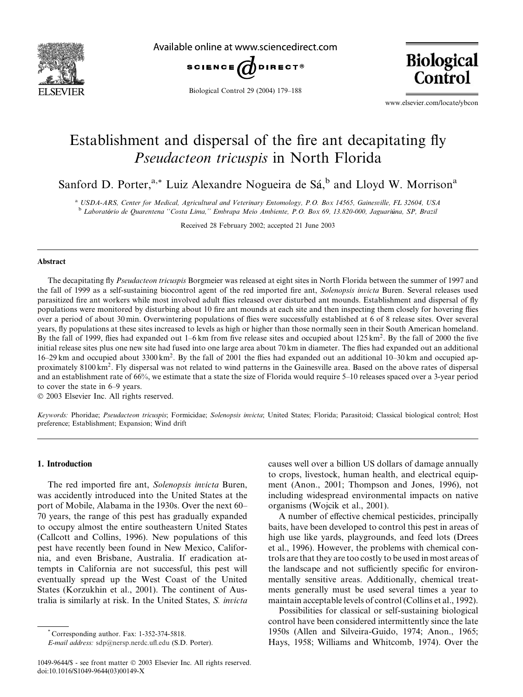

Available online at www.sciencedirect.com



Biological Control 29 (2004) 179–188



www.elsevier.com/locate/ybcon

# Establishment and dispersal of the fire ant decapitating fly Pseudacteon tricuspis in North Florida

Sanford D. Porter,<sup>a,\*</sup> Luiz Alexandre Nogueira de Sá,<sup>b</sup> and Lloyd W. Morrison<sup>a</sup>

<sup>a</sup> USDA-ARS, Center for Medical, Agricultural and Veterinary Entomology, P.O. Box 14565, Gainesville, FL 32604, USA <sup>b</sup> Laboratorio de Quarentena ''Costa Lima,'' Embrapa Meio Ambiente, P.O. Box 69, 13.820-000, Jaguariuna, SP, Brazil

Received 28 February 2002; accepted 21 June 2003

#### Abstract

The decapitating fly Pseudacteon tricuspis Borgmeier was released at eight sites in North Florida between the summer of 1997 and the fall of 1999 as a self-sustaining biocontrol agent of the red imported fire ant, Solenopsis invicta Buren. Several releases used parasitized fire ant workers while most involved adult flies released over disturbed ant mounds. Establishment and dispersal of fly populations were monitored by disturbing about 10 fire ant mounds at each site and then inspecting them closely for hovering flies over a period of about 30 min. Overwintering populations of flies were successfully established at 6 of 8 release sites. Over several years, fly populations at these sites increased to levels as high or higher than those normally seen in their South American homeland. By the fall of 1999, flies had expanded out 1–6 km from five release sites and occupied about 125 km<sup>2</sup>. By the fall of 2000 the five initial release sites plus one new site had fused into one large area about 70 km in diameter. The flies had expanded out an additional  $16-29$  km and occupied about 3300 km<sup>2</sup>. By the fall of 2001 the flies had expanded out an additional  $10-30$  km and occupied approximately 8100 km2. Fly dispersal was not related to wind patterns in the Gainesville area. Based on the above rates of dispersal and an establishment rate of 66%, we estimate that a state the size of Florida would require 5–10 releases spaced over a 3-year period to cover the state in 6–9 years.

2003 Elsevier Inc. All rights reserved.

Keywords: Phoridae; Pseudacteon tricuspis; Formicidae; Solenopsis invicta; United States; Florida; Parasitoid; Classical biological control; Host preference; Establishment; Expansion; Wind drift

## 1. Introduction

The red imported fire ant, Solenopsis invicta Buren, was accidently introduced into the United States at the port of Mobile, Alabama in the 1930s. Over the next 60– 70 years, the range of this pest has gradually expanded to occupy almost the entire southeastern United States (Callcott and Collins, 1996). New populations of this pest have recently been found in New Mexico, California, and even Brisbane, Australia. If eradication attempts in California are not successful, this pest will eventually spread up the West Coast of the United States (Korzukhin et al., 2001). The continent of Australia is similarly at risk. In the United States, S. invicta

causes well over a billion US dollars of damage annually to crops, livestock, human health, and electrical equipment (Anon., 2001; Thompson and Jones, 1996), not including widespread environmental impacts on native organisms (Wojcik et al., 2001).

A number of effective chemical pesticides, principally baits, have been developed to control this pest in areas of high use like yards, playgrounds, and feed lots (Drees et al., 1996). However, the problems with chemical controls are that they are too costly to be used in most areas of the landscape and not sufficiently specific for environmentally sensitive areas. Additionally, chemical treatments generally must be used several times a year to maintain acceptable levels of control (Collins et al., 1992).

Possibilities for classical or self-sustaining biological control have been considered intermittently since the late 1950s (Allen and Silveira-Guido, 1974; Anon., 1965; Hays, 1958; Williams and Whitcomb, 1974). Over the

<sup>\*</sup> Corresponding author. Fax: 1-352-374-5818.

E-mail address: [sdp@nersp.nerdc.ufl.edu](mail to: sdp@nersp.nerdc.ufl.edu) (S.D. Porter).

<sup>1049-9644/\$ -</sup> see front matter 2003 Elsevier Inc. All rights reserved. doi:10.1016/S1049-9644(03)00149-X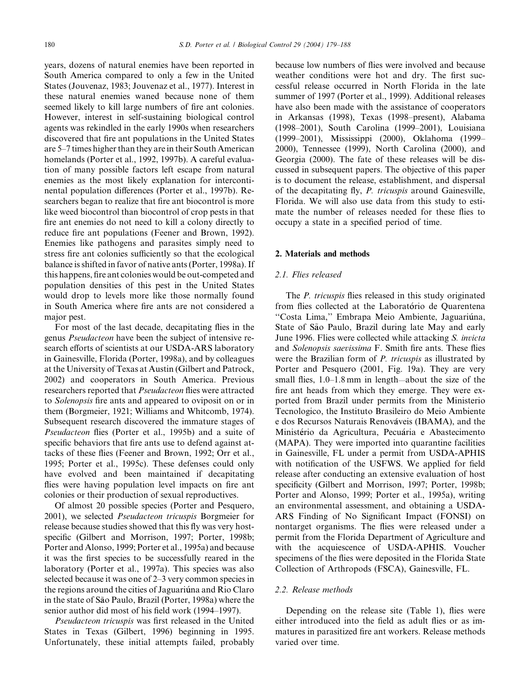years, dozens of natural enemies have been reported in South America compared to only a few in the United States (Jouvenaz, 1983; Jouvenaz et al., 1977). Interest in these natural enemies waned because none of them seemed likely to kill large numbers of fire ant colonies. However, interest in self-sustaining biological control agents was rekindled in the early 1990s when researchers discovered that fire ant populations in the United States are 5–7 times higher than they are in their South American homelands (Porter et al., 1992, 1997b). A careful evaluation of many possible factors left escape from natural enemies as the most likely explanation for intercontinental population differences (Porter et al., 1997b). Researchers began to realize that fire ant biocontrol is more like weed biocontrol than biocontrol of crop pests in that fire ant enemies do not need to kill a colony directly to reduce fire ant populations (Feener and Brown, 1992). Enemies like pathogens and parasites simply need to stress fire ant colonies sufficiently so that the ecological balance is shifted in favor of native ants (Porter, 1998a). If this happens, fire ant colonies would be out-competed and population densities of this pest in the United States would drop to levels more like those normally found in South America where fire ants are not considered a major pest.

For most of the last decade, decapitating flies in the genus Pseudacteon have been the subject of intensive research efforts of scientists at our USDA-ARS laboratory in Gainesville, Florida (Porter, 1998a), and by colleagues at the University of Texas at Austin (Gilbert and Patrock, 2002) and cooperators in South America. Previous researchers reported that Pseudacteon flies were attracted to Solenopsis fire ants and appeared to oviposit on or in them (Borgmeier, 1921; Williams and Whitcomb, 1974). Subsequent research discovered the immature stages of Pseudacteon flies (Porter et al., 1995b) and a suite of specific behaviors that fire ants use to defend against attacks of these flies (Feener and Brown, 1992; Orr et al., 1995; Porter et al., 1995c). These defenses could only have evolved and been maintained if decapitating flies were having population level impacts on fire ant colonies or their production of sexual reproductives.

Of almost 20 possible species (Porter and Pesquero, 2001), we selected Pseudacteon tricuspis Borgmeier for release because studies showed that this fly was very hostspecific (Gilbert and Morrison, 1997; Porter, 1998b; Porter and Alonso, 1999; Porter et al., 1995a) and because it was the first species to be successfully reared in the laboratory (Porter et al., 1997a). This species was also selected because it was one of 2–3 very common species in the regions around the cities of Jaguariuna and Rio Claro in the state of São Paulo, Brazil (Porter, 1998a) where the senior author did most of his field work (1994–1997).

Pseudacteon tricuspis was first released in the United States in Texas (Gilbert, 1996) beginning in 1995. Unfortunately, these initial attempts failed, probably because low numbers of flies were involved and because weather conditions were hot and dry. The first successful release occurred in North Florida in the late summer of 1997 (Porter et al., 1999). Additional releases have also been made with the assistance of cooperators in Arkansas (1998), Texas (1998–present), Alabama (1998–2001), South Carolina (1999–2001), Louisiana (1999–2001), Mississippi (2000), Oklahoma (1999– 2000), Tennessee (1999), North Carolina (2000), and Georgia (2000). The fate of these releases will be discussed in subsequent papers. The objective of this paper is to document the release, establishment, and dispersal of the decapitating fly, P. tricuspis around Gainesville, Florida. We will also use data from this study to estimate the number of releases needed for these flies to occupy a state in a specified period of time.

## 2. Materials and methods

## 2.1. Flies released

The *P. tricuspis* flies released in this study originated from flies collected at the Laboratório de Quarentena "Costa Lima," Embrapa Meio Ambiente, Jaguariúna, State of São Paulo, Brazil during late May and early June 1996. Flies were collected while attacking S. invicta and Solenopsis saevissima F. Smith fire ants. These flies were the Brazilian form of P. tricuspis as illustrated by Porter and Pesquero (2001, Fig. 19a). They are very small flies,  $1.0-1.8$  mm in length—about the size of the fire ant heads from which they emerge. They were exported from Brazil under permits from the Ministerio Tecnologico, the Instituto Brasileiro do Meio Ambiente e dos Recursos Naturais Renovaveis (IBAMA), and the Ministério da Agricultura, Pecuária e Abastecimento (MAPA). They were imported into quarantine facilities in Gainesville, FL under a permit from USDA-APHIS with notification of the USFWS. We applied for field release after conducting an extensive evaluation of host specificity (Gilbert and Morrison, 1997; Porter, 1998b; Porter and Alonso, 1999; Porter et al., 1995a), writing an environmental assessment, and obtaining a USDA-ARS Finding of No Significant Impact (FONSI) on nontarget organisms. The flies were released under a permit from the Florida Department of Agriculture and with the acquiescence of USDA-APHIS. Voucher specimens of the flies were deposited in the Florida State Collection of Arthropods (FSCA), Gainesville, FL.

### 2.2. Release methods

Depending on the release site (Table 1), flies were either introduced into the field as adult flies or as immatures in parasitized fire ant workers. Release methods varied over time.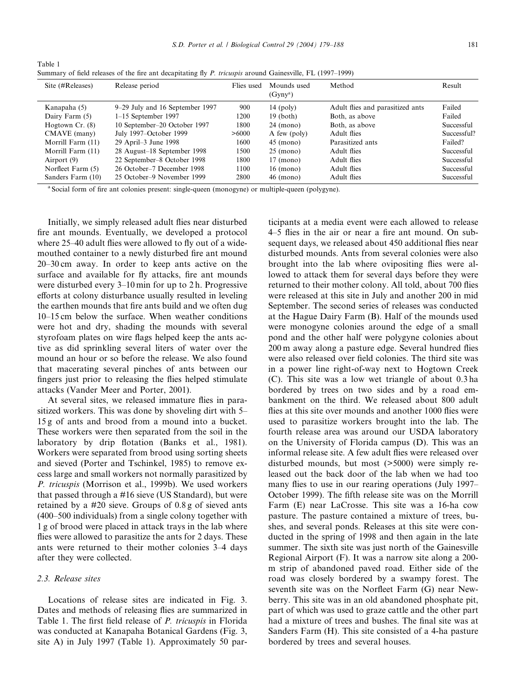Summary of field releases of the fire ant decapitating fly P. tricuspis around Gainesville, FL (1997–1999)

| Site (#Releases)  | Release period                  | Flies used | Mounds used<br>(Gyny <sup>a</sup> ) | Method                           | Result      |
|-------------------|---------------------------------|------------|-------------------------------------|----------------------------------|-------------|
| Kanapaha (5)      | 9–29 July and 16 September 1997 | 900        | $14$ (poly)                         | Adult flies and parasitized ants | Failed      |
| Dairy Farm (5)    | $1-15$ September 1997           | 1200       | $19$ (both)                         | Both, as above                   | Failed      |
| Hogtown Cr. (8)   | 10 September-20 October 1997    | 1800       | $24 \pmod{2}$                       | Both, as above                   | Successful  |
| CMAVE (many)      | July 1997–October 1999          | >6000      | A few (poly)                        | Adult flies                      | Successful? |
| Morrill Farm (11) | 29 April-3 June 1998            | 1600       | $45 \pmod{ }$                       | Parasitized ants                 | Failed?     |
| Morrill Farm (11) | 28 August-18 September 1998     | 1500       | $25 \pmod{2}$                       | Adult flies                      | Successful  |
| Airport (9)       | 22 September-8 October 1998     | 1800       | $17 \text{ (mono)}$                 | Adult flies                      | Successful  |
| Norfleet Farm (5) | 26 October–7 December 1998      | 1100       | $16 \text{ (mono)}$                 | Adult flies                      | Successful  |
| Sanders Farm (10) | 25 October–9 November 1999      | 2800       | $46 \text{ (mono)}$                 | Adult flies                      | Successful  |

<sup>a</sup> Social form of fire ant colonies present: single-queen (monogyne) or multiple-queen (polygyne).

Initially, we simply released adult flies near disturbed fire ant mounds. Eventually, we developed a protocol where 25–40 adult flies were allowed to fly out of a widemouthed container to a newly disturbed fire ant mound 20–30 cm away. In order to keep ants active on the surface and available for fly attacks, fire ant mounds were disturbed every 3–10 min for up to 2 h. Progressive efforts at colony disturbance usually resulted in leveling the earthen mounds that fire ants build and we often dug 10–15 cm below the surface. When weather conditions were hot and dry, shading the mounds with several styrofoam plates on wire flags helped keep the ants active as did sprinkling several liters of water over the mound an hour or so before the release. We also found that macerating several pinches of ants between our fingers just prior to releasing the flies helped stimulate attacks (Vander Meer and Porter, 2001).

At several sites, we released immature flies in parasitized workers. This was done by shoveling dirt with 5– 15 g of ants and brood from a mound into a bucket. These workers were then separated from the soil in the laboratory by drip flotation (Banks et al., 1981). Workers were separated from brood using sorting sheets and sieved (Porter and Tschinkel, 1985) to remove excess large and small workers not normally parasitized by P. tricuspis (Morrison et al., 1999b). We used workers that passed through a #16 sieve (US Standard), but were retained by a #20 sieve. Groups of 0.8 g of sieved ants (400–500 individuals) from a single colony together with 1 g of brood were placed in attack trays in the lab where flies were allowed to parasitize the ants for 2 days. These ants were returned to their mother colonies 3–4 days after they were collected.

# 2.3. Release sites

Table 1

Locations of release sites are indicated in Fig. 3. Dates and methods of releasing flies are summarized in Table 1. The first field release of P. tricuspis in Florida was conducted at Kanapaha Botanical Gardens (Fig. 3, site A) in July 1997 (Table 1). Approximately 50 participants at a media event were each allowed to release 4–5 flies in the air or near a fire ant mound. On subsequent days, we released about 450 additional flies near disturbed mounds. Ants from several colonies were also brought into the lab where ovipositing flies were allowed to attack them for several days before they were returned to their mother colony. All told, about 700 flies were released at this site in July and another 200 in mid September. The second series of releases was conducted at the Hague Dairy Farm (B). Half of the mounds used were monogyne colonies around the edge of a small pond and the other half were polygyne colonies about 200 m away along a pasture edge. Several hundred flies were also released over field colonies. The third site was in a power line right-of-way next to Hogtown Creek (C). This site was a low wet triangle of about 0.3 ha bordered by trees on two sides and by a road embankment on the third. We released about 800 adult flies at this site over mounds and another 1000 flies were used to parasitize workers brought into the lab. The fourth release area was around our USDA laboratory on the University of Florida campus (D). This was an informal release site. A few adult flies were released over disturbed mounds, but most (>5000) were simply released out the back door of the lab when we had too many flies to use in our rearing operations (July 1997– October 1999). The fifth release site was on the Morrill Farm (E) near LaCrosse. This site was a 16-ha cow pasture. The pasture contained a mixture of trees, bushes, and several ponds. Releases at this site were conducted in the spring of 1998 and then again in the late summer. The sixth site was just north of the Gainesville Regional Airport (F). It was a narrow site along a 200 m strip of abandoned paved road. Either side of the road was closely bordered by a swampy forest. The seventh site was on the Norfleet Farm (G) near Newberry. This site was in an old abandoned phosphate pit, part of which was used to graze cattle and the other part had a mixture of trees and bushes. The final site was at Sanders Farm (H). This site consisted of a 4-ha pasture bordered by trees and several houses.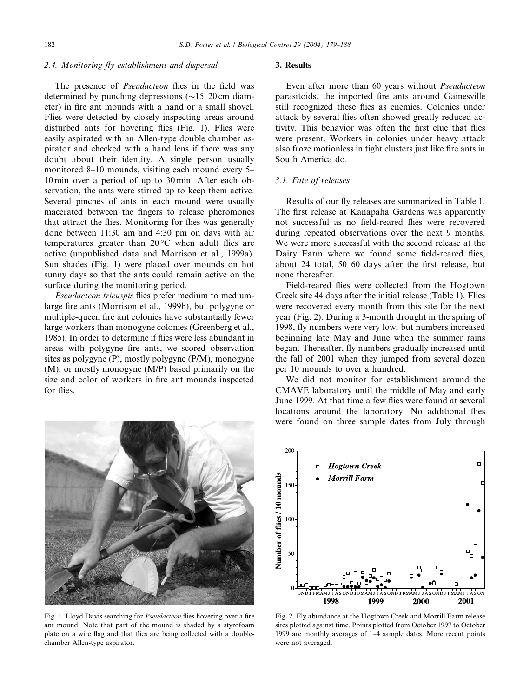# 2.4. Monitoring fly establishment and dispersal

The presence of *Pseudacteon* flies in the field was determined by punching depressions  $(\sim 15-20 \text{ cm})$  diameter) in fire ant mounds with a hand or a small shovel. Flies were detected by closely inspecting areas around disturbed ants for hovering flies (Fig. 1). Flies were easily aspirated with an Allen-type double chamber aspirator and checked with a hand lens if there was any doubt about their identity. A single person usually monitored 8–10 mounds, visiting each mound every 5– 10 min over a period of up to 30 min. After each observation, the ants were stirred up to keep them active. Several pinches of ants in each mound were usually macerated between the fingers to release pheromones that attract the flies. Monitoring for flies was generally done between 11:30 am and 4:30 pm on days with air temperatures greater than  $20^{\circ}$ C when adult flies are active (unpublished data and Morrison et al., 1999a). Sun shades (Fig. 1) were placed over mounds on hot sunny days so that the ants could remain active on the surface during the monitoring period.

Pseudacteon tricuspis flies prefer medium to mediumlarge fire ants (Morrison et al., 1999b), but polygyne or multiple-queen fire ant colonies have substantially fewer large workers than monogyne colonies (Greenberg et al., 1985). In order to determine if flies were less abundant in areas with polygyne fire ants, we scored observation sites as polygyne (P), mostly polygyne (P/M), monogyne (M), or mostly monogyne (M/P) based primarily on the size and color of workers in fire ant mounds inspected for flies.



Fig. 1. Lloyd Davis searching for Pseudacteon flies hovering over a fire ant mound. Note that part of the mound is shaded by a styrofoam plate on a wire flag and that flies are being collected with a doublechamber Allen-type aspirator.

## 3. Results

Even after more than 60 years without Pseudacteon parasitoids, the imported fire ants around Gainesville still recognized these flies as enemies. Colonies under attack by several flies often showed greatly reduced activity. This behavior was often the first clue that flies were present. Workers in colonies under heavy attack also froze motionless in tight clusters just like fire ants in South America do.

# 3.1. Fate of releases

Results of our fly releases are summarized in Table 1. The first release at Kanapaha Gardens was apparently not successful as no field-reared flies were recovered during repeated observations over the next 9 months. We were more successful with the second release at the Dairy Farm where we found some field-reared flies, about 24 total, 50–60 days after the first release, but none thereafter.

Field-reared flies were collected from the Hogtown Creek site 44 days after the initial release (Table 1). Flies were recovered every month from this site for the next year (Fig. 2). During a 3-month drought in the spring of 1998, fly numbers were very low, but numbers increased beginning late May and June when the summer rains began. Thereafter, fly numbers gradually increased until the fall of 2001 when they jumped from several dozen per 10 mounds to over a hundred.

We did not monitor for establishment around the CMAVE laboratory until the middle of May and early June 1999. At that time a few flies were found at several locations around the laboratory. No additional flies were found on three sample dates from July through



Fig. 2. Fly abundance at the Hogtown Creek and Morrill Farm release sites plotted against time. Points plotted from October 1997 to October 1999 are monthly averages of 1–4 sample dates. More recent points were not averaged.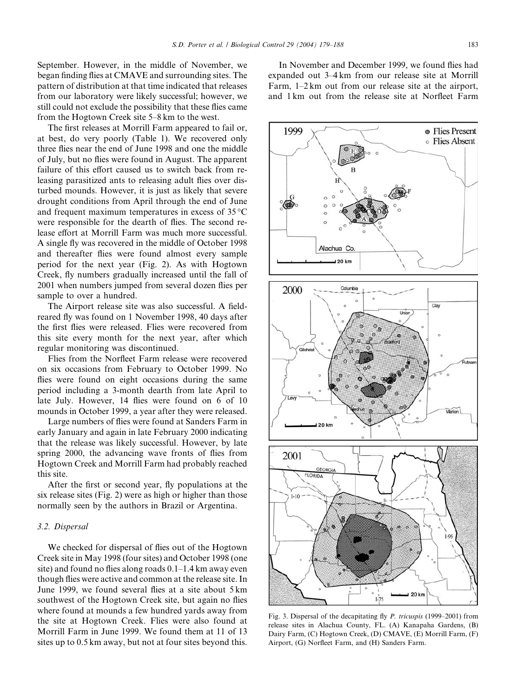September. However, in the middle of November, we began finding flies at CMAVE and surrounding sites. The pattern of distribution at that time indicated that releases from our laboratory were likely successful; however, we still could not exclude the possibility that these flies came from the Hogtown Creek site 5–8 km to the west.

The first releases at Morrill Farm appeared to fail or, at best, do very poorly (Table 1). We recovered only three flies near the end of June 1998 and one the middle of July, but no flies were found in August. The apparent failure of this effort caused us to switch back from releasing parasitized ants to releasing adult flies over disturbed mounds. However, it is just as likely that severe drought conditions from April through the end of June and frequent maximum temperatures in excess of  $35^{\circ}$ C were responsible for the dearth of flies. The second release effort at Morrill Farm was much more successful. A single fly was recovered in the middle of October 1998 and thereafter flies were found almost every sample period for the next year (Fig. 2). As with Hogtown Creek, fly numbers gradually increased until the fall of 2001 when numbers jumped from several dozen flies per sample to over a hundred.

The Airport release site was also successful. A fieldreared fly was found on 1 November 1998, 40 days after the first flies were released. Flies were recovered from this site every month for the next year, after which regular monitoring was discontinued.

Flies from the Norfleet Farm release were recovered on six occasions from February to October 1999. No flies were found on eight occasions during the same period including a 3-month dearth from late April to late July. However, 14 flies were found on 6 of 10 mounds in October 1999, a year after they were released.

Large numbers of flies were found at Sanders Farm in early January and again in late February 2000 indicating that the release was likely successful. However, by late spring 2000, the advancing wave fronts of flies from Hogtown Creek and Morrill Farm had probably reached this site.

After the first or second year, fly populations at the six release sites (Fig. 2) were as high or higher than those normally seen by the authors in Brazil or Argentina.

#### 3.2. Dispersal

We checked for dispersal of flies out of the Hogtown Creek site in May 1998 (four sites) and October 1998 (one site) and found no flies along roads 0.1–1.4 km away even though flies were active and common at the release site. In June 1999, we found several flies at a site about 5 km southwest of the Hogtown Creek site, but again no flies where found at mounds a few hundred yards away from the site at Hogtown Creek. Flies were also found at Morrill Farm in June 1999. We found them at 11 of 13 sites up to 0.5 km away, but not at four sites beyond this.

In November and December 1999, we found flies had expanded out 3–4 km from our release site at Morrill Farm, 1–2 km out from our release site at the airport, and 1 km out from the release site at Norfleet Farm

Fig. 3. Dispersal of the decapitating fly P. tricuspis (1999–2001) from release sites in Alachua County, FL. (A) Kanapaha Gardens, (B) Dairy Farm, (C) Hogtown Creek, (D) CMAVE, (E) Morrill Farm, (F) Airport, (G) Norfleet Farm, and (H) Sanders Farm.

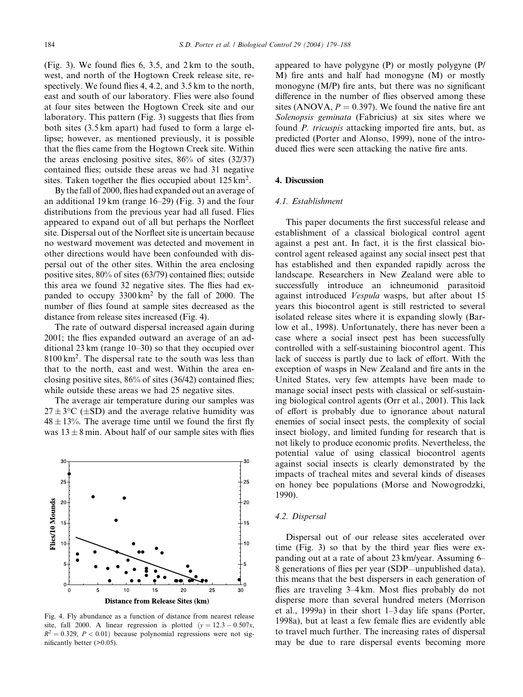(Fig. 3). We found flies 6, 3.5, and 2 km to the south, west, and north of the Hogtown Creek release site, respectively. We found flies 4, 4.2, and 3.5 km to the north, east and south of our laboratory. Flies were also found at four sites between the Hogtown Creek site and our laboratory. This pattern (Fig. 3) suggests that flies from both sites (3.5 km apart) had fused to form a large ellipse; however, as mentioned previously, it is possible that the flies came from the Hogtown Creek site. Within the areas enclosing positive sites, 86% of sites (32/37) contained flies; outside these areas we had 31 negative sites. Taken together the flies occupied about  $125 \text{ km}^2$ .

By the fall of 2000, flies had expanded out an average of an additional 19 km (range 16–29) (Fig. 3) and the four distributions from the previous year had all fused. Flies appeared to expand out of all but perhaps the Norfleet site. Dispersal out of the Norfleet site is uncertain because no westward movement was detected and movement in other directions would have been confounded with dispersal out of the other sites. Within the area enclosing positive sites, 80% of sites (63/79) contained flies; outside this area we found 32 negative sites. The flies had expanded to occupy  $3300 \text{ km}^2$  by the fall of 2000. The number of flies found at sample sites decreased as the distance from release sites increased (Fig. 4).

The rate of outward dispersal increased again during 2001; the flies expanded outward an average of an additional 23 km (range 10–30) so that they occupied over  $8100 \mathrm{km^2}$ . The dispersal rate to the south was less than that to the north, east and west. Within the area enclosing positive sites, 86% of sites (36/42) contained flies; while outside these areas we had 25 negative sites.

The average air temperature during our samples was  $27 \pm 3$ °C ( $\pm$ SD) and the average relative humidity was  $48 \pm 13$ %. The average time until we found the first fly was  $13 \pm 8$  min. About half of our sample sites with flies



Fig. 4. Fly abundance as a function of distance from nearest release site, fall 2000. A linear regression is plotted  $(v = 12.3 - 0.507x$ ,  $R^2 = 0.329$ ,  $P < 0.01$ ) because polynomial regressions were not significantly better (>0.05).

appeared to have polygyne (P) or mostly polygyne (P/ M) fire ants and half had monogyne (M) or mostly monogyne (M/P) fire ants, but there was no significant difference in the number of flies observed among these sites (ANOVA,  $P = 0.397$ ). We found the native fire ant Solenopsis geminata (Fabricius) at six sites where we found P. tricuspis attacking imported fire ants, but, as predicted (Porter and Alonso, 1999), none of the introduced flies were seen attacking the native fire ants.

## 4. Discussion

## 4.1. Establishment

This paper documents the first successful release and establishment of a classical biological control agent against a pest ant. In fact, it is the first classical biocontrol agent released against any social insect pest that has established and then expanded rapidly across the landscape. Researchers in New Zealand were able to successfully introduce an ichneumonid parasitoid against introduced Vespula wasps, but after about 15 years this biocontrol agent is still restricted to several isolated release sites where it is expanding slowly (Barlow et al., 1998). Unfortunately, there has never been a case where a social insect pest has been successfully controlled with a self-sustaining biocontrol agent. This lack of success is partly due to lack of effort. With the exception of wasps in New Zealand and fire ants in the United States, very few attempts have been made to manage social insect pests with classical or self-sustaining biological control agents (Orr et al., 2001). This lack of effort is probably due to ignorance about natural enemies of social insect pests, the complexity of social insect biology, and limited funding for research that is not likely to produce economic profits. Nevertheless, the potential value of using classical biocontrol agents against social insects is clearly demonstrated by the impacts of tracheal mites and several kinds of diseases on honey bee populations (Morse and Nowogrodzki, 1990).

## 4.2. Dispersal

Dispersal out of our release sites accelerated over time (Fig. 3) so that by the third year flies were expanding out at a rate of about 23 km/year. Assuming 6– 8 generations of flies per year (SDP—unpublished data), this means that the best dispersers in each generation of flies are traveling 3–4 km. Most flies probably do not disperse more than several hundred meters (Morrison et al., 1999a) in their short 1–3 day life spans (Porter, 1998a), but at least a few female flies are evidently able to travel much further. The increasing rates of dispersal may be due to rare dispersal events becoming more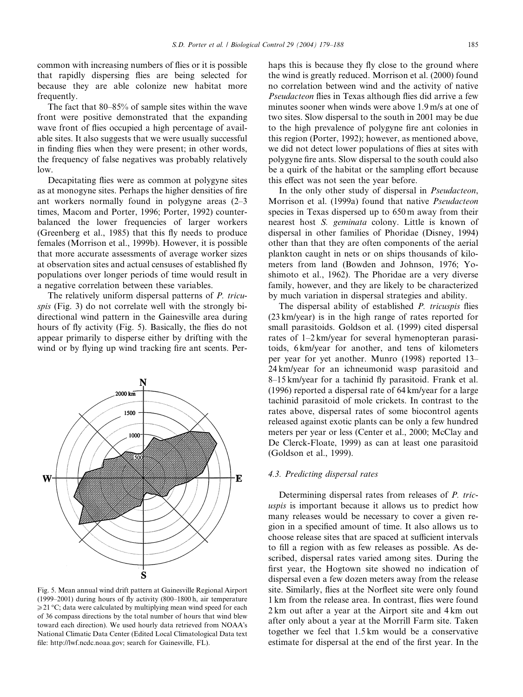common with increasing numbers of flies or it is possible that rapidly dispersing flies are being selected for because they are able colonize new habitat more frequently.

The fact that 80–85% of sample sites within the wave front were positive demonstrated that the expanding wave front of flies occupied a high percentage of available sites. It also suggests that we were usually successful in finding flies when they were present; in other words, the frequency of false negatives was probably relatively low.

Decapitating flies were as common at polygyne sites as at monogyne sites. Perhaps the higher densities of fire ant workers normally found in polygyne areas (2–3 times, Macom and Porter, 1996; Porter, 1992) counterbalanced the lower frequencies of larger workers (Greenberg et al., 1985) that this fly needs to produce females (Morrison et al., 1999b). However, it is possible that more accurate assessments of average worker sizes at observation sites and actual censuses of established fly populations over longer periods of time would result in a negative correlation between these variables.

The relatively uniform dispersal patterns of P. tricuspis (Fig. 3) do not correlate well with the strongly bidirectional wind pattern in the Gainesville area during hours of fly activity (Fig. 5). Basically, the flies do not appear primarily to disperse either by drifting with the wind or by flying up wind tracking fire ant scents. Per-



Fig. 5. Mean annual wind drift pattern at Gainesville Regional Airport (1999–2001) during hours of fly activity (800–1800 h, air temperature  $\geq$ 21 °C; data were calculated by multiplying mean wind speed for each of 36 compass directions by the total number of hours that wind blew toward each direction). We used hourly data retrieved from NOAA's National Climatic Data Center (Edited Local Climatological Data text file: http://lwf.ncdc.noaa.gov; search for Gainesville, FL).

haps this is because they fly close to the ground where the wind is greatly reduced. Morrison et al. (2000) found no correlation between wind and the activity of native Pseudacteon flies in Texas although flies did arrive a few minutes sooner when winds were above 1.9 m/s at one of two sites. Slow dispersal to the south in 2001 may be due to the high prevalence of polygyne fire ant colonies in this region (Porter, 1992); however, as mentioned above, we did not detect lower populations of flies at sites with polygyne fire ants. Slow dispersal to the south could also be a quirk of the habitat or the sampling effort because this effect was not seen the year before.

In the only other study of dispersal in Pseudacteon, Morrison et al. (1999a) found that native Pseudacteon species in Texas dispersed up to 650 m away from their nearest host S. geminata colony. Little is known of dispersal in other families of Phoridae (Disney, 1994) other than that they are often components of the aerial plankton caught in nets or on ships thousands of kilometers from land (Bowden and Johnson, 1976; Yoshimoto et al., 1962). The Phoridae are a very diverse family, however, and they are likely to be characterized by much variation in dispersal strategies and ability.

The dispersal ability of established *P. tricuspis* flies (23 km/year) is in the high range of rates reported for small parasitoids. Goldson et al. (1999) cited dispersal rates of 1–2 km/year for several hymenopteran parasitoids, 6 km/year for another, and tens of kilometers per year for yet another. Munro (1998) reported 13– 24 km/year for an ichneumonid wasp parasitoid and 8–15 km/year for a tachinid fly parasitoid. Frank et al. (1996) reported a dispersal rate of 64 km/year for a large tachinid parasitoid of mole crickets. In contrast to the rates above, dispersal rates of some biocontrol agents released against exotic plants can be only a few hundred meters per year or less (Center et al., 2000; McClay and De Clerck-Floate, 1999) as can at least one parasitoid (Goldson et al., 1999).

## 4.3. Predicting dispersal rates

Determining dispersal rates from releases of P. tricuspis is important because it allows us to predict how many releases would be necessary to cover a given region in a specified amount of time. It also allows us to choose release sites that are spaced at sufficient intervals to fill a region with as few releases as possible. As described, dispersal rates varied among sites. During the first year, the Hogtown site showed no indication of dispersal even a few dozen meters away from the release site. Similarly, flies at the Norfleet site were only found 1 km from the release area. In contrast, flies were found 2 km out after a year at the Airport site and 4 km out after only about a year at the Morrill Farm site. Taken together we feel that 1.5 km would be a conservative estimate for dispersal at the end of the first year. In the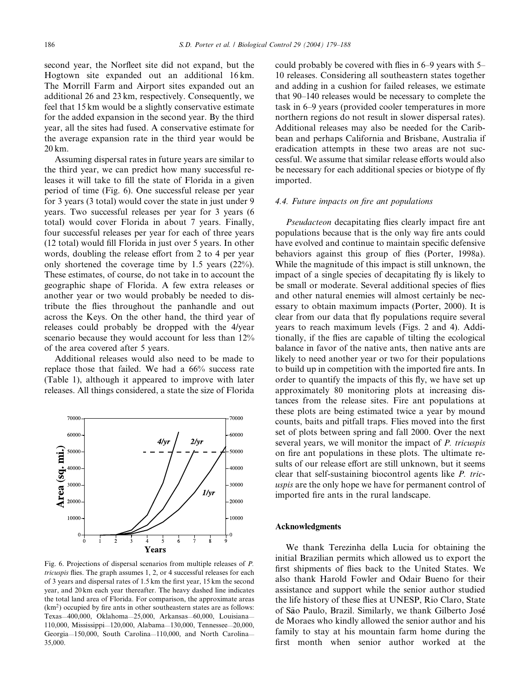second year, the Norfleet site did not expand, but the Hogtown site expanded out an additional 16 km. The Morrill Farm and Airport sites expanded out an additional 26 and 23 km, respectively. Consequently, we feel that 15 km would be a slightly conservative estimate for the added expansion in the second year. By the third year, all the sites had fused. A conservative estimate for the average expansion rate in the third year would be 20 km.

Assuming dispersal rates in future years are similar to the third year, we can predict how many successful releases it will take to fill the state of Florida in a given period of time (Fig. 6). One successful release per year for 3 years (3 total) would cover the state in just under 9 years. Two successful releases per year for 3 years (6 total) would cover Florida in about 7 years. Finally, four successful releases per year for each of three years (12 total) would fill Florida in just over 5 years. In other words, doubling the release effort from 2 to 4 per year only shortened the coverage time by 1.5 years (22%). These estimates, of course, do not take in to account the geographic shape of Florida. A few extra releases or another year or two would probably be needed to distribute the flies throughout the panhandle and out across the Keys. On the other hand, the third year of releases could probably be dropped with the 4/year scenario because they would account for less than 12% of the area covered after 5 years.

Additional releases would also need to be made to replace those that failed. We had a 66% success rate (Table 1), although it appeared to improve with later releases. All things considered, a state the size of Florida



Fig. 6. Projections of dispersal scenarios from multiple releases of P. tricuspis flies. The graph assumes 1, 2, or 4 successful releases for each of 3 years and dispersal rates of 1.5 km the first year, 15 km the second year, and 20 km each year thereafter. The heavy dashed line indicates the total land area of Florida. For comparison, the approximate areas  $(km<sup>2</sup>)$  occupied by fire ants in other southeastern states are as follows: Texas—400,000, Oklahoma—25,000, Arkansas—60,000, Louisiana— 110,000, Mississippi—120,000, Alabama—130,000, Tennessee—20,000, Georgia—150,000, South Carolina—110,000, and North Carolina— 35,000.

could probably be covered with flies in 6–9 years with 5– 10 releases. Considering all southeastern states together and adding in a cushion for failed releases, we estimate that 90–140 releases would be necessary to complete the task in 6–9 years (provided cooler temperatures in more northern regions do not result in slower dispersal rates). Additional releases may also be needed for the Caribbean and perhaps California and Brisbane, Australia if eradication attempts in these two areas are not successful. We assume that similar release efforts would also be necessary for each additional species or biotype of fly imported.

## 4.4. Future impacts on fire ant populations

Pseudacteon decapitating flies clearly impact fire ant populations because that is the only way fire ants could have evolved and continue to maintain specific defensive behaviors against this group of flies (Porter, 1998a). While the magnitude of this impact is still unknown, the impact of a single species of decapitating fly is likely to be small or moderate. Several additional species of flies and other natural enemies will almost certainly be necessary to obtain maximum impacts (Porter, 2000). It is clear from our data that fly populations require several years to reach maximum levels (Figs. 2 and 4). Additionally, if the flies are capable of tilting the ecological balance in favor of the native ants, then native ants are likely to need another year or two for their populations to build up in competition with the imported fire ants. In order to quantify the impacts of this fly, we have set up approximately 80 monitoring plots at increasing distances from the release sites. Fire ant populations at these plots are being estimated twice a year by mound counts, baits and pitfall traps. Flies moved into the first set of plots between spring and fall 2000. Over the next several years, we will monitor the impact of P. tricuspis on fire ant populations in these plots. The ultimate results of our release effort are still unknown, but it seems clear that self-sustaining biocontrol agents like P. tricuspis are the only hope we have for permanent control of imported fire ants in the rural landscape.

#### Acknowledgments

We thank Terezinha della Lucia for obtaining the initial Brazilian permits which allowed us to export the first shipments of flies back to the United States. We also thank Harold Fowler and Odair Bueno for their assistance and support while the senior author studied the life history of these flies at UNESP, Rio Claro, State of São Paulo, Brazil. Similarly, we thank Gilberto José de Moraes who kindly allowed the senior author and his family to stay at his mountain farm home during the first month when senior author worked at the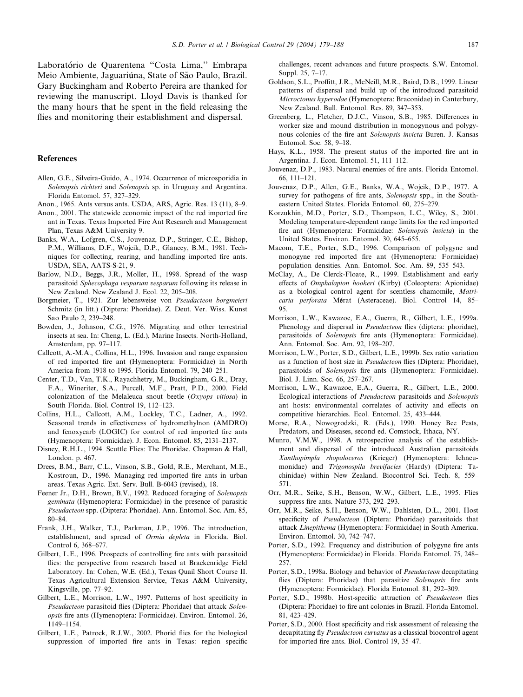Laboratório de Quarentena "Costa Lima," Embrapa Meio Ambiente, Jaguariúna, State of São Paulo, Brazil. Gary Buckingham and Roberto Pereira are thanked for reviewing the manuscript. Lloyd Davis is thanked for the many hours that he spent in the field releasing the flies and monitoring their establishment and dispersal.

## References

- Allen, G.E., Silveira-Guido, A., 1974. Occurrence of microsporidia in Solenopsis richteri and Solenopsis sp. in Uruguay and Argentina. Florida Entomol. 57, 327–329.
- Anon., 1965. Ants versus ants. USDA, ARS, Agric. Res. 13 (11), 8–9.
- Anon., 2001. The statewide economic impact of the red imported fire ant in Texas. Texas Imported Fire Ant Research and Management Plan, Texas A&M University 9.
- Banks, W.A., Lofgren, C.S., Jouvenaz, D.P., Stringer, C.E., Bishop, P.M., Williams, D.F., Wojcik, D.P., Glancey, B.M., 1981. Techniques for collecting, rearing, and handling imported fire ants. USDA, SEA, AATS-S-21, 9.
- Barlow, N.D., Beggs, J.R., Moller, H., 1998. Spread of the wasp parasitoid Sphecophaga vesparum vesparum following its release in New Zealand. New Zealand J. Ecol. 22, 205–208.
- Borgmeier, T., 1921. Zur lebensweise von Pseudacteon borgmeieri Schmitz (in litt.) (Diptera: Phoridae). Z. Deut. Ver. Wiss. Kunst Sao Paulo 2, 239–248.
- Bowden, J., Johnson, C.G., 1976. Migrating and other terrestrial insects at sea. In: Cheng, L. (Ed.), Marine Insects. North-Holland, Amsterdam, pp. 97–117.
- Callcott, A.-M.A., Collins, H.L., 1996. Invasion and range expansion of red imported fire ant (Hymenoptera: Formicidae) in North America from 1918 to 1995. Florida Entomol. 79, 240–251.
- Center, T.D., Van, T.K., Rayachhetry, M., Buckingham, G.R., Dray, F.A., Wineriter, S.A., Purcell, M.F., Pratt, P.D., 2000. Field colonization of the Melaleuca snout beetle  $(Oxyops\;vitionsa)$  in South Florida. Biol. Control 19, 112–123.
- Collins, H.L., Callcott, A.M., Lockley, T.C., Ladner, A., 1992. Seasonal trends in effectiveness of hydromethylnon (AMDRO) and fenoxycarb (LOGIC) for control of red imported fire ants (Hymenoptera: Formicidae). J. Econ. Entomol. 85, 2131–2137.
- Disney, R.H.L., 1994. Scuttle Flies: The Phoridae. Chapman & Hall, London. p. 467.
- Drees, B.M., Barr, C.L., Vinson, S.B., Gold, R.E., Merchant, M.E., Kostroun, D., 1996. Managing red imported fire ants in urban areas. Texas Agric. Ext. Serv. Bull. B-6043 (revised), 18.
- Feener Jr., D.H., Brown, B.V., 1992. Reduced foraging of Solenopsis geminata (Hymenoptera: Formicidae) in the presence of parasitic Pseudacteon spp. (Diptera: Phoridae). Ann. Entomol. Soc. Am. 85, 80–84.
- Frank, J.H., Walker, T.J., Parkman, J.P., 1996. The introduction, establishment, and spread of Ormia depleta in Florida. Biol. Control 6, 368–677.
- Gilbert, L.E., 1996. Prospects of controlling fire ants with parasitoid flies: the perspective from research based at Brackenridge Field Laboratory. In: Cohen, W.E. (Ed.), Texas Quail Short Course II. Texas Agricultural Extension Service, Texas A&M University, Kingsville, pp. 77–92.
- Gilbert, L.E., Morrison, L.W., 1997. Patterns of host specificity in Pseudacteon parasitoid flies (Diptera: Phoridae) that attack Solenopsis fire ants (Hymenoptera: Formicidae). Environ. Entomol. 26, 1149–1154.
- Gilbert, L.E., Patrock, R.J.W., 2002. Phorid flies for the biological suppression of imported fire ants in Texas: region specific

challenges, recent advances and future prospects. S.W. Entomol. Suppl. 25, 7–17.

- Goldson, S.L., Proffitt, J.R., McNeill, M.R., Baird, D.B., 1999. Linear patterns of dispersal and build up of the introduced parasitoid Microctonus hyperodae (Hymenoptera: Braconidae) in Canterbury, New Zealand. Bull. Entomol. Res. 89, 347–353.
- Greenberg, L., Fletcher, D.J.C., Vinson, S.B., 1985. Differences in worker size and mound distribution in monogynous and polygynous colonies of the fire ant Solenopsis invicta Buren. J. Kansas Entomol. Soc. 58, 9–18.
- Hays, K.L., 1958. The present status of the imported fire ant in Argentina. J. Econ. Entomol. 51, 111–112.
- Jouvenaz, D.P., 1983. Natural enemies of fire ants. Florida Entomol. 66, 111–121.
- Jouvenaz, D.P., Allen, G.E., Banks, W.A., Wojcik, D.P., 1977. A survey for pathogens of fire ants, Solenopsis spp., in the Southeastern United States. Florida Entomol. 60, 275–279.
- Korzukhin, M.D., Porter, S.D., Thompson, L.C., Wiley, S., 2001. Modeling temperature-dependent range limits for the red imported fire ant (Hymenoptera: Formicidae: Solenopsis invicta) in the United States. Environ. Entomol. 30, 645–655.
- Macom, T.E., Porter, S.D., 1996. Comparison of polygyne and monogyne red imported fire ant (Hymenoptera: Formicidae) population densities. Ann. Entomol. Soc. Am. 89, 535–543.
- McClay, A., De Clerck-Floate, R., 1999. Establishment and early effects of Omphalapion hookeri (Kirby) (Coleoptera: Apionidae) as a biological control agent for scentless chamomile, Matricaria perforata Mérat (Asteraceae). Biol. Control 14, 85-95.
- Morrison, L.W., Kawazoe, E.A., Guerra, R., Gilbert, L.E., 1999a. Phenology and dispersal in *Pseudacteon* flies (diptera: phoridae), parasitoids of Solenopsis fire ants (Hymenoptera: Formicidae). Ann. Entomol. Soc. Am. 92, 198–207.
- Morrison, L.W., Porter, S.D., Gilbert, L.E., 1999b. Sex ratio variation as a function of host size in Pseudacteon flies (Diptera: Phoridae), parasitoids of Solenopsis fire ants (Hymenoptera: Formicidae). Biol. J. Linn. Soc. 66, 257–267.
- Morrison, L.W., Kawazoe, E.A., Guerra, R., Gilbert, L.E., 2000. Ecological interactions of Pseudacteon parasitoids and Solenopsis ant hosts: environmental correlates of activity and effects on competitive hierarchies. Ecol. Entomol. 25, 433–444.
- Morse, R.A., Nowogrodzki, R. (Eds.), 1990. Honey Bee Pests, Predators, and Diseases, second ed. Comstock, Ithaca, NY.
- Munro, V.M.W., 1998. A retrospective analysis of the establishment and dispersal of the introduced Australian parasitoids Xanthopimpla rhopaloceros (Krieger) (Hymenoptera: Ichneumonidae) and Trigonospila brevifacies (Hardy) (Diptera: Tachinidae) within New Zealand. Biocontrol Sci. Tech. 8, 559– 571.
- Orr, M.R., Seike, S.H., Benson, W.W., Gilbert, L.E., 1995. Flies suppress fire ants. Nature 373, 292–293.
- Orr, M.R., Seike, S.H., Benson, W.W., Dahlsten, D.L., 2001. Host specificity of Pseudacteon (Diptera: Phoridae) parasitoids that attack Linepithema (Hymenoptera: Formicidae) in South America. Environ. Entomol. 30, 742–747.
- Porter, S.D., 1992. Frequency and distribution of polygyne fire ants (Hymenoptera: Formicidae) in Florida. Florida Entomol. 75, 248– 257.
- Porter, S.D., 1998a. Biology and behavior of Pseudacteon decapitating flies (Diptera: Phoridae) that parasitize Solenopsis fire ants (Hymenoptera: Formicidae). Florida Entomol. 81, 292–309.
- Porter, S.D., 1998b. Host-specific attraction of Pseudacteon flies (Diptera: Phoridae) to fire ant colonies in Brazil. Florida Entomol. 81, 423–429.
- Porter, S.D., 2000. Host specificity and risk assessment of releasing the decapitating fly Pseudacteon curvatus as a classical biocontrol agent for imported fire ants. Biol. Control 19, 35–47.